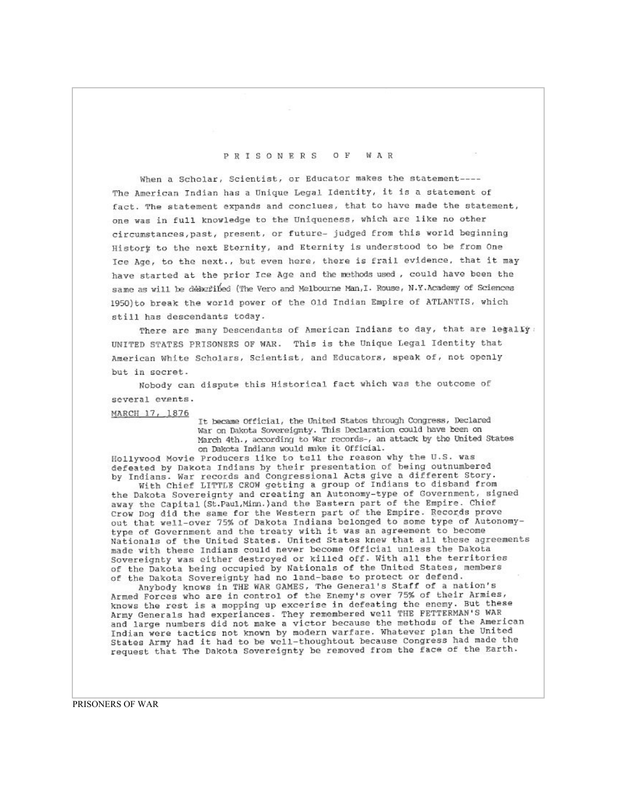## O F **WAR** PRISONERS

When a Scholar, Scientist, or Educator makes the statement----The American Indian has a Unique Legal Identity, it is a statement of fact. The statement expands and conclues, that to have made the statement, one was in full knowledge to the Uniqueness, which are like no other circumstances, past, present, or future- judged from this world beginning Histort to the next Eternity, and Eternity is understood to be from One Ice Age, to the next., but even here, there is frail evidence, that it may have started at the prior Ice Age and the methods used, could have been the same as will be deberibed (The Vero and Melbourne Man, I. Rouse, N.Y.Academy of Sciences 1950) to break the world power of the Old Indian Empire of ATLANTIS, which still has descendants today.

There are many Descendants of American Indians to day, that are legally: UNITED STATES PRISONERS OF WAR. This is the Unique Legal Identity that American White Scholars, Scientist, and Educators, speak of, not openly but in secret.

Nobody can dispute this Historical fact which was the outcome of several events.

MARCH 17, 1876

It became Official, the United States through Congress, Declared War on Dakota Sovereignty. This Declaration could have been on March 4th., according to War records-, an attack by the United States on Dakota Indians would make it Official.

Hollywood Movie Producers like to tell the reason why the U.S. was defeated by Dakota Indians by their presentation of being outnumbered by Indians. War records and Congressional Acts give a different Story.

With Chief LITTLE CROW getting a group of Indians to disband from the Dakota Sovereignty and creating an Autonomy-type of Government, signed away the Capital (St.Paul, Minn.) and the Eastern part of the Empire. Chief Crow Dog did the same for the Western part of the Empire. Records prove out that well-over 75% of Dakota Indians belonged to some type of Autonomytype of Government and the treaty with it was an agreement to become Nationals of the United States. United States knew that all these agreements made with these Indians could never become Official unless the Dakota Sovereignty was either destroyed or killed off. With all the territories of the Dakota being occupied by Nationals of the United States, members of the Dakota Sovereignty had no 1and-base to protect or defend.

Anybody knows in THE WAR GAMES, The General's Staff of a nation's Armed Forces who are in control of the Enemy's over 75% of their Armies, knows the rest is a mopping up excerise in defeating the enemy. But these Army Generals had experiances. They remembered well THE FETTERMAN'S WAR and large numbers did not make a victor because the methods of the American Indian were tactics not known by modern warfare. Whatever plan the United States Army had it had to be well-thoughtout because Congress had made the request that The Dakota Sovereignty be removed from the face of the Earth.

PRISONERS OF WAR